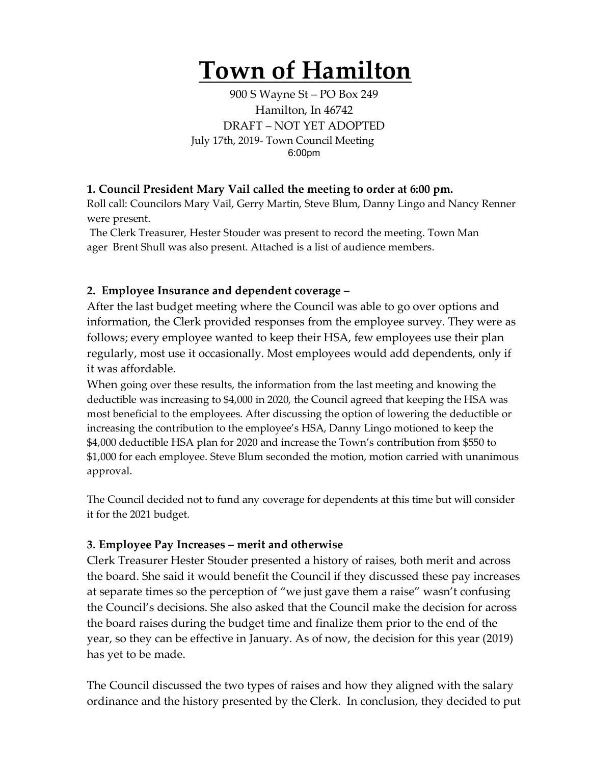## **Town of Hamilton**

900 S Wayne St – PO Box 249 Hamilton, In 46742 DRAFT – NOT YET ADOPTED July 17th, 2019- Town Council Meeting 6:00pm

## **1. Council President Mary Vail called the meeting to order at 6:00 pm.**

Roll call: Councilors Mary Vail, Gerry Martin, Steve Blum, Danny Lingo and Nancy Renner were present.

The Clerk Treasurer, Hester Stouder was present to record the meeting. Town Man ager Brent Shull was also present. Attached is a list of audience members.

## **2. Employee Insurance and dependent coverage –**

After the last budget meeting where the Council was able to go over options and information, the Clerk provided responses from the employee survey. They were as follows; every employee wanted to keep their HSA, few employees use their plan regularly, most use it occasionally. Most employees would add dependents, only if it was affordable.

When going over these results, the information from the last meeting and knowing the deductible was increasing to \$4,000 in 2020, the Council agreed that keeping the HSA was most beneficial to the employees. After discussing the option of lowering the deductible or increasing the contribution to the employee's HSA, Danny Lingo motioned to keep the \$4,000 deductible HSA plan for 2020 and increase the Town's contribution from \$550 to \$1,000 for each employee. Steve Blum seconded the motion, motion carried with unanimous approval.

The Council decided not to fund any coverage for dependents at this time but will consider it for the 2021 budget.

## **3. Employee Pay Increases – merit and otherwise**

Clerk Treasurer Hester Stouder presented a history of raises, both merit and across the board. She said it would benefit the Council if they discussed these pay increases at separate times so the perception of "we just gave them a raise" wasn't confusing the Council's decisions. She also asked that the Council make the decision for across the board raises during the budget time and finalize them prior to the end of the year, so they can be effective in January. As of now, the decision for this year (2019) has yet to be made.

The Council discussed the two types of raises and how they aligned with the salary ordinance and the history presented by the Clerk. In conclusion, they decided to put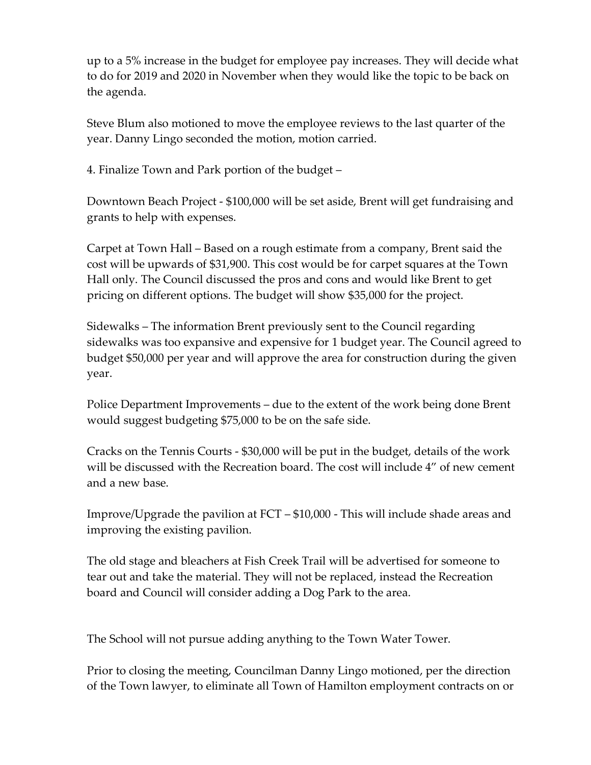up to a 5% increase in the budget for employee pay increases. They will decide what to do for 2019 and 2020 in November when they would like the topic to be back on the agenda.

Steve Blum also motioned to move the employee reviews to the last quarter of the year. Danny Lingo seconded the motion, motion carried.

4. Finalize Town and Park portion of the budget –

Downtown Beach Project - \$100,000 will be set aside, Brent will get fundraising and grants to help with expenses.

Carpet at Town Hall – Based on a rough estimate from a company, Brent said the cost will be upwards of \$31,900. This cost would be for carpet squares at the Town Hall only. The Council discussed the pros and cons and would like Brent to get pricing on different options. The budget will show \$35,000 for the project.

Sidewalks – The information Brent previously sent to the Council regarding sidewalks was too expansive and expensive for 1 budget year. The Council agreed to budget \$50,000 per year and will approve the area for construction during the given year.

Police Department Improvements – due to the extent of the work being done Brent would suggest budgeting \$75,000 to be on the safe side.

Cracks on the Tennis Courts - \$30,000 will be put in the budget, details of the work will be discussed with the Recreation board. The cost will include 4" of new cement and a new base.

Improve/Upgrade the pavilion at FCT – \$10,000 - This will include shade areas and improving the existing pavilion.

The old stage and bleachers at Fish Creek Trail will be advertised for someone to tear out and take the material. They will not be replaced, instead the Recreation board and Council will consider adding a Dog Park to the area.

The School will not pursue adding anything to the Town Water Tower.

Prior to closing the meeting, Councilman Danny Lingo motioned, per the direction of the Town lawyer, to eliminate all Town of Hamilton employment contracts on or